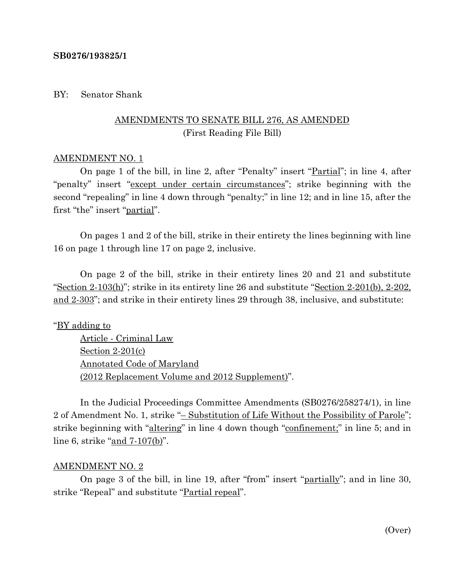#### **SB0276/193825/1**

#### BY: Senator Shank

# AMENDMENTS TO SENATE BILL 276, AS AMENDED (First Reading File Bill)

#### AMENDMENT NO. 1

On page 1 of the bill, in line 2, after "Penalty" insert "Partial"; in line 4, after "penalty" insert "except under certain circumstances"; strike beginning with the second "repealing" in line 4 down through "penalty;" in line 12; and in line 15, after the first "the" insert "partial".

On pages 1 and 2 of the bill, strike in their entirety the lines beginning with line 16 on page 1 through line 17 on page 2, inclusive.

On page 2 of the bill, strike in their entirety lines 20 and 21 and substitute "Section 2-103(h)"; strike in its entirety line 26 and substitute "Section 2-201(b), 2-202, and 2-303"; and strike in their entirety lines 29 through 38, inclusive, and substitute:

### "BY adding to

Article - Criminal Law Section 2-201(c) Annotated Code of Maryland (2012 Replacement Volume and 2012 Supplement)".

In the Judicial Proceedings Committee Amendments (SB0276/258274/1), in line 2 of Amendment No. 1, strike "– Substitution of Life Without the Possibility of Parole"; strike beginning with "altering" in line 4 down though "confinement;" in line 5; and in line 6, strike "and 7-107(b)".

#### AMENDMENT NO. 2

On page 3 of the bill, in line 19, after "from" insert "partially"; and in line 30, strike "Repeal" and substitute "Partial repeal".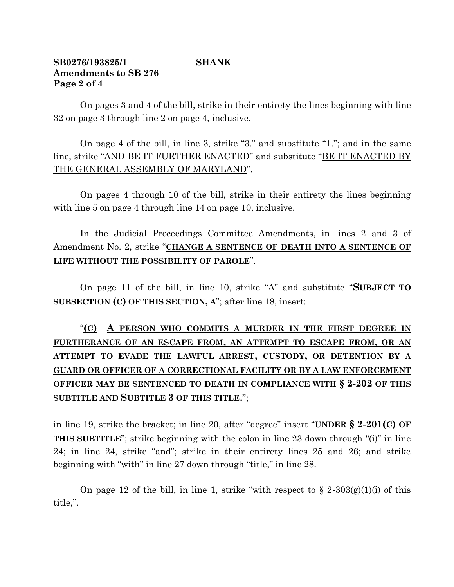### **SB0276/193825/1 SHANK Amendments to SB 276 Page 2 of 4**

On pages 3 and 4 of the bill, strike in their entirety the lines beginning with line 32 on page 3 through line 2 on page 4, inclusive.

On page 4 of the bill, in line 3, strike "3." and substitute "1."; and in the same line, strike "AND BE IT FURTHER ENACTED" and substitute "BE IT ENACTED BY THE GENERAL ASSEMBLY OF MARYLAND".

On pages 4 through 10 of the bill, strike in their entirety the lines beginning with line 5 on page 4 through line 14 on page 10, inclusive.

In the Judicial Proceedings Committee Amendments, in lines 2 and 3 of Amendment No. 2, strike "**CHANGE A SENTENCE OF DEATH INTO A SENTENCE OF LIFE WITHOUT THE POSSIBILITY OF PAROLE**".

On page 11 of the bill, in line 10, strike "A" and substitute "**SUBJECT TO SUBSECTION (C) OF THIS SECTION, A**"; after line 18, insert:

"**(C) A PERSON WHO COMMITS A MURDER IN THE FIRST DEGREE IN FURTHERANCE OF AN ESCAPE FROM, AN ATTEMPT TO ESCAPE FROM, OR AN ATTEMPT TO EVADE THE LAWFUL ARREST, CUSTODY, OR DETENTION BY A GUARD OR OFFICER OF A CORRECTIONAL FACILITY OR BY A LAW ENFORCEMENT OFFICER MAY BE SENTENCED TO DEATH IN COMPLIANCE WITH § 2-202 OF THIS SUBTITLE AND SUBTITLE 3 OF THIS TITLE.**";

in line 19, strike the bracket; in line 20, after "degree" insert "**UNDER § 2-201(C) OF THIS SUBTITLE**"; strike beginning with the colon in line 23 down through "(i)" in line 24; in line 24, strike "and"; strike in their entirety lines 25 and 26; and strike beginning with "with" in line 27 down through "title," in line 28.

On page 12 of the bill, in line 1, strike "with respect to  $\S$  2-303(g)(1)(i) of this title,".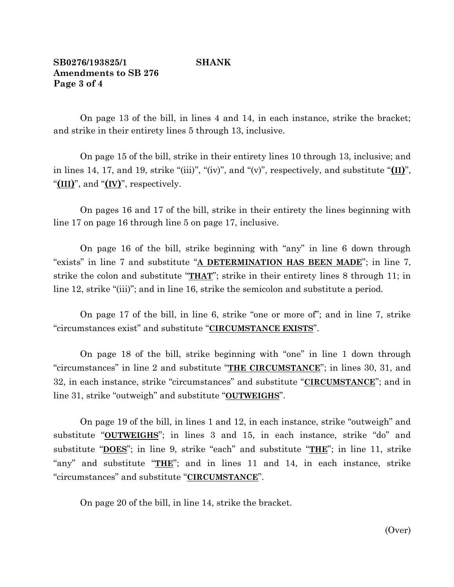### **SB0276/193825/1 SHANK Amendments to SB 276 Page 3 of 4**

On page 13 of the bill, in lines 4 and 14, in each instance, strike the bracket; and strike in their entirety lines 5 through 13, inclusive.

On page 15 of the bill, strike in their entirety lines 10 through 13, inclusive; and in lines 14, 17, and 19, strike "(iii)", "(iv)", and "(v)", respectively, and substitute " $(\mathbf{II})$ ", "**(III)**", and "**(IV)**", respectively.

On pages 16 and 17 of the bill, strike in their entirety the lines beginning with line 17 on page 16 through line 5 on page 17, inclusive.

On page 16 of the bill, strike beginning with "any" in line 6 down through "exists" in line 7 and substitute "**A DETERMINATION HAS BEEN MADE**"; in line 7, strike the colon and substitute "**THAT**"; strike in their entirety lines 8 through 11; in line 12, strike "(iii)"; and in line 16, strike the semicolon and substitute a period.

On page 17 of the bill, in line 6, strike "one or more of"; and in line 7, strike "circumstances exist" and substitute "**CIRCUMSTANCE EXISTS**".

On page 18 of the bill, strike beginning with "one" in line 1 down through "circumstances" in line 2 and substitute "**THE CIRCUMSTANCE**"; in lines 30, 31, and 32, in each instance, strike "circumstances" and substitute "**CIRCUMSTANCE**"; and in line 31, strike "outweigh" and substitute "**OUTWEIGHS**".

On page 19 of the bill, in lines 1 and 12, in each instance, strike "outweigh" and substitute "**OUTWEIGHS**"; in lines 3 and 15, in each instance, strike "do" and substitute "**DOES**"; in line 9, strike "each" and substitute "**THE**"; in line 11, strike "any" and substitute "**THE**"; and in lines 11 and 14, in each instance, strike "circumstances" and substitute "**CIRCUMSTANCE**".

On page 20 of the bill, in line 14, strike the bracket.